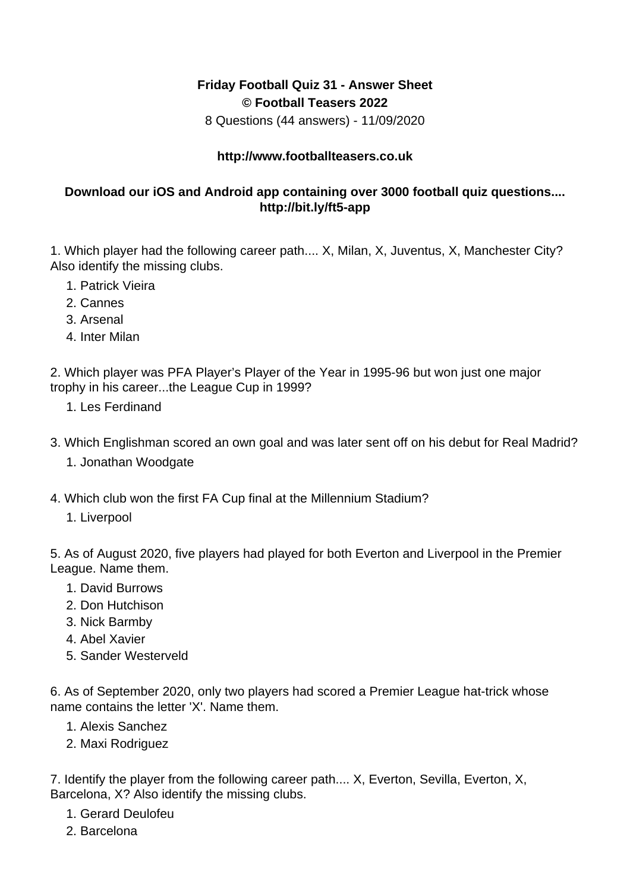## **Friday Football Quiz 31 - Answer Sheet © Football Teasers 2022**

8 Questions (44 answers) - 11/09/2020

## **http://www.footballteasers.co.uk**

## **Download our iOS and Android app containing over 3000 football quiz questions.... http://bit.ly/ft5-app**

1. Which player had the following career path.... X, Milan, X, Juventus, X, Manchester City? Also identify the missing clubs.

- 1. Patrick Vieira
- 2. Cannes
- 3. Arsenal
- 4. Inter Milan

2. Which player was PFA Player's Player of the Year in 1995-96 but won just one major trophy in his career...the League Cup in 1999?

- 1. Les Ferdinand
- 3. Which Englishman scored an own goal and was later sent off on his debut for Real Madrid? 1. Jonathan Woodgate
- 4. Which club won the first FA Cup final at the Millennium Stadium?
	- 1. Liverpool

5. As of August 2020, five players had played for both Everton and Liverpool in the Premier League. Name them.

- 1. David Burrows
- 2. Don Hutchison
- 3. Nick Barmby
- 4. Abel Xavier
- 5. Sander Westerveld

6. As of September 2020, only two players had scored a Premier League hat-trick whose name contains the letter 'X'. Name them.

- 1. Alexis Sanchez
- 2. Maxi Rodriguez

7. Identify the player from the following career path.... X, Everton, Sevilla, Everton, X, Barcelona, X? Also identify the missing clubs.

- 1. Gerard Deulofeu
- 2. Barcelona